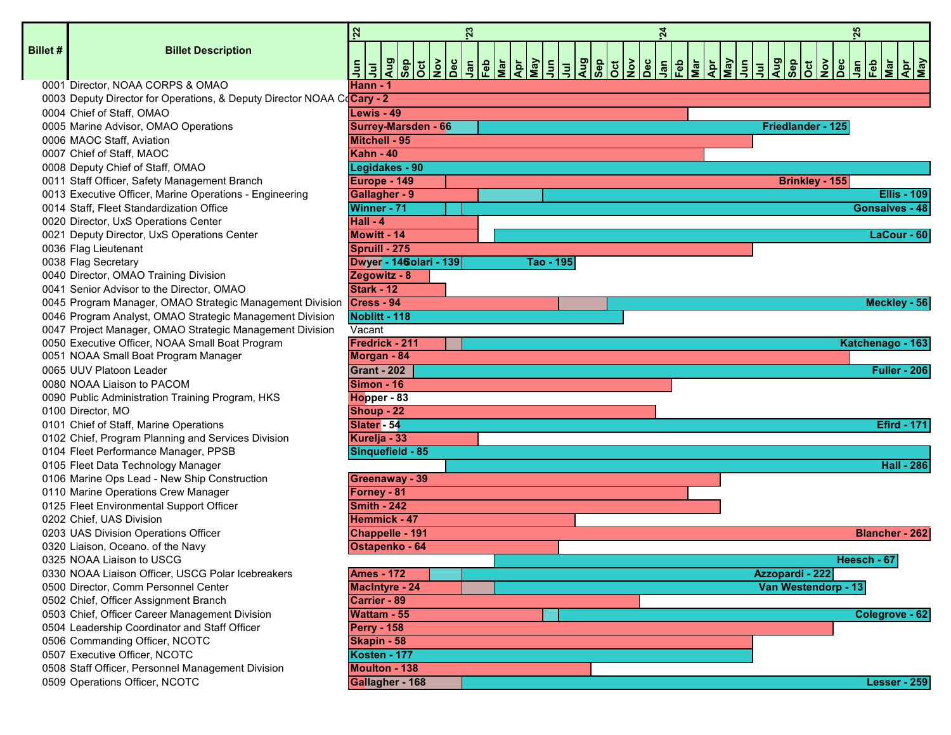|                 |                                                                        | 22     |                                |  | 23 |           |  | $\overline{24}$ |  |                       | 25          |                                                         |                     |
|-----------------|------------------------------------------------------------------------|--------|--------------------------------|--|----|-----------|--|-----------------|--|-----------------------|-------------|---------------------------------------------------------|---------------------|
| <b>Billet #</b> | <b>Billet Description</b>                                              |        |                                |  |    |           |  |                 |  |                       |             |                                                         |                     |
|                 |                                                                        |        |                                |  |    |           |  |                 |  |                       |             | $\frac{1}{2}$ $\frac{1}{2}$ $\frac{1}{2}$ $\frac{1}{2}$ | Apr<br>May          |
|                 | 0001 Director, NOAA CORPS & OMAO                                       |        | <b>Hann - 1</b>                |  |    |           |  |                 |  |                       |             |                                                         |                     |
|                 | 0003 Deputy Director for Operations, & Deputy Director NOAA CoCary - 2 |        |                                |  |    |           |  |                 |  |                       |             |                                                         |                     |
|                 | 0004 Chief of Staff, OMAO                                              |        | Lewis - 49                     |  |    |           |  |                 |  |                       |             |                                                         |                     |
|                 | 0005 Marine Advisor, OMAO Operations                                   |        | <b>Surrey-Marsden - 66</b>     |  |    |           |  |                 |  | Friedlander - 125     |             |                                                         |                     |
|                 | 0006 MAOC Staff, Aviation                                              |        | <b>Mitchell - 95</b>           |  |    |           |  |                 |  |                       |             |                                                         |                     |
|                 | 0007 Chief of Staff, MAOC                                              |        | <b>Kahn - 40</b>               |  |    |           |  |                 |  |                       |             |                                                         |                     |
|                 | 0008 Deputy Chief of Staff, OMAO                                       |        | Legidakes - 90                 |  |    |           |  |                 |  |                       |             |                                                         |                     |
|                 | 0011 Staff Officer, Safety Management Branch                           |        | Europe - 149                   |  |    |           |  |                 |  | <b>Brinkley - 155</b> |             |                                                         |                     |
|                 | 0013 Executive Officer, Marine Operations - Engineering                |        | <b>Gallagher - 9</b>           |  |    |           |  |                 |  |                       |             |                                                         | <b>Ellis - 109</b>  |
|                 | 0014 Staff, Fleet Standardization Office                               |        | Winner - 71                    |  |    |           |  |                 |  |                       |             | Gonsalves - 48                                          |                     |
|                 | 0020 Director, UxS Operations Center                                   |        | Hall - 4                       |  |    |           |  |                 |  |                       |             |                                                         |                     |
|                 | 0021 Deputy Director, UxS Operations Center                            |        | <b>Mowitt - 14</b>             |  |    |           |  |                 |  |                       |             |                                                         | $LaCour - 60$       |
|                 | 0036 Flag Lieutenant                                                   |        | Spruill - 275                  |  |    |           |  |                 |  |                       |             |                                                         |                     |
|                 | 0038 Flag Secretary                                                    |        | <b>Dwyer - 146 olari - 139</b> |  |    | Tao - 195 |  |                 |  |                       |             |                                                         |                     |
|                 | 0040 Director, OMAO Training Division                                  |        | Zegowitz - 8                   |  |    |           |  |                 |  |                       |             |                                                         |                     |
|                 | 0041 Senior Advisor to the Director, OMAO                              |        | Stark - 12                     |  |    |           |  |                 |  |                       |             |                                                         |                     |
|                 | 0045 Program Manager, OMAO Strategic Management Division Cress - 94    |        |                                |  |    |           |  |                 |  |                       |             |                                                         | Meckley - 56        |
|                 | 0046 Program Analyst, OMAO Strategic Management Division               |        | Noblitt - 118                  |  |    |           |  |                 |  |                       |             |                                                         |                     |
|                 | 0047 Project Manager, OMAO Strategic Management Division               | Vacant |                                |  |    |           |  |                 |  |                       |             |                                                         |                     |
|                 | 0050 Executive Officer, NOAA Small Boat Program                        |        | Fredrick - 211                 |  |    |           |  |                 |  |                       |             | Katchenago - 163                                        |                     |
|                 | 0051 NOAA Small Boat Program Manager                                   |        | Morgan - 84                    |  |    |           |  |                 |  |                       |             |                                                         |                     |
|                 | 0065 UUV Platoon Leader                                                |        | <b>Grant 202</b>               |  |    |           |  |                 |  |                       |             |                                                         | <b>Fuller - 206</b> |
|                 | 0080 NOAA Liaison to PACOM                                             |        | <b>Simon - 16</b>              |  |    |           |  |                 |  |                       |             |                                                         |                     |
|                 | 0090 Public Administration Training Program, HKS                       |        | Hopper - 83                    |  |    |           |  |                 |  |                       |             |                                                         |                     |
|                 | 0100 Director, MO                                                      |        | Shoup - 22                     |  |    |           |  |                 |  |                       |             |                                                         |                     |
|                 | 0101 Chief of Staff, Marine Operations                                 |        | Slater - 54                    |  |    |           |  |                 |  |                       |             |                                                         | <b>Efird - 171</b>  |
|                 | 0102 Chief, Program Planning and Services Division                     |        | Kurelja - 33                   |  |    |           |  |                 |  |                       |             |                                                         |                     |
|                 | 0104 Fleet Performance Manager, PPSB                                   |        | Sinquefield - 85               |  |    |           |  |                 |  |                       |             |                                                         |                     |
|                 | 0105 Fleet Data Technology Manager                                     |        |                                |  |    |           |  |                 |  |                       |             |                                                         | <b>Hall - 286</b>   |
|                 | 0106 Marine Ops Lead - New Ship Construction                           |        | <b>Greenaway - 39</b>          |  |    |           |  |                 |  |                       |             |                                                         |                     |
|                 | 0110 Marine Operations Crew Manager                                    |        | Forney - 81                    |  |    |           |  |                 |  |                       |             |                                                         |                     |
|                 | 0125 Fleet Environmental Support Officer                               |        | Smith - 242                    |  |    |           |  |                 |  |                       |             |                                                         |                     |
|                 | 0202 Chief, UAS Division                                               |        | Hemmick - 47                   |  |    |           |  |                 |  |                       |             |                                                         |                     |
|                 | 0203 UAS Division Operations Officer                                   |        | <b>Chappelle - 191</b>         |  |    |           |  |                 |  |                       |             | <b>Blancher - 262</b>                                   |                     |
|                 | 0320 Liaison, Oceano. of the Navy                                      |        | Ostapenko - 64                 |  |    |           |  |                 |  |                       |             |                                                         |                     |
|                 | 0325 NOAA Liaison to USCG                                              |        |                                |  |    |           |  |                 |  |                       | Heesch - 67 |                                                         |                     |
|                 | 0330 NOAA Liaison Officer, USCG Polar Icebreakers                      |        | <b>Ames - 172</b>              |  |    |           |  |                 |  | Azzopardi - 222       |             |                                                         |                     |
|                 | 0500 Director, Comm Personnel Center                                   |        | <b>MacIntyre - 24</b>          |  |    |           |  |                 |  | Van Westendorp - 13   |             |                                                         |                     |
|                 | 0502 Chief, Officer Assignment Branch                                  |        | <b>Carrier - 89</b>            |  |    |           |  |                 |  |                       |             |                                                         |                     |
|                 | 0503 Chief, Officer Career Management Division                         |        | <b>Wattam - 55</b>             |  |    |           |  |                 |  |                       |             | Colegrove - 62                                          |                     |
|                 | 0504 Leadership Coordinator and Staff Officer                          |        | <b>Perry - 158</b>             |  |    |           |  |                 |  |                       |             |                                                         |                     |
|                 | 0506 Commanding Officer, NCOTC                                         |        | Skapin - 58                    |  |    |           |  |                 |  |                       |             |                                                         |                     |
|                 | 0507 Executive Officer, NCOTC                                          |        | Kosten - 177                   |  |    |           |  |                 |  |                       |             |                                                         |                     |
|                 | 0508 Staff Officer, Personnel Management Division                      |        | <b>Moulton - 138</b>           |  |    |           |  |                 |  |                       |             |                                                         |                     |
|                 | 0509 Operations Officer, NCOTC                                         |        | Gallagher - 168                |  |    |           |  |                 |  |                       |             |                                                         | <b>Lesser - 259</b> |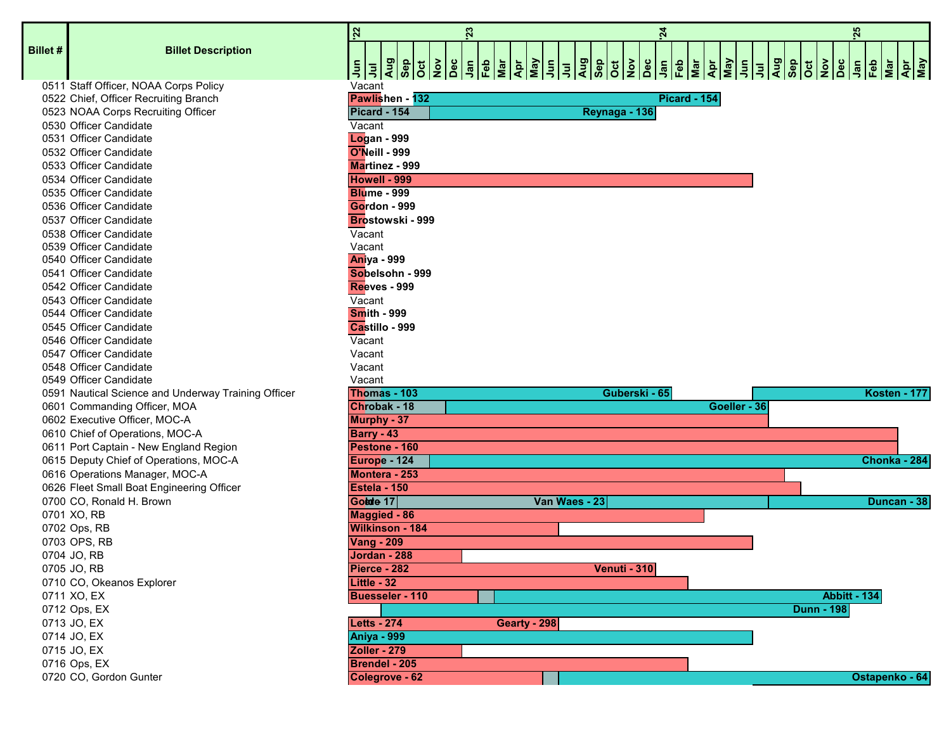| <b>Billet #</b> | <b>Billet Description</b>                           |                        | 흵회                    |  |  |                         | $\frac{1}{2}$ $\frac{1}{2}$ $\frac{1}{2}$ $\frac{1}{2}$ $\frac{1}{2}$ $\frac{1}{2}$ $\frac{1}{2}$ $\frac{1}{2}$ $\frac{1}{2}$ $\frac{1}{2}$ |  |  |  |  |              | $\frac{m}{\sqrt{eN}}$ |                |
|-----------------|-----------------------------------------------------|------------------------|-----------------------|--|--|-------------------------|---------------------------------------------------------------------------------------------------------------------------------------------|--|--|--|--|--------------|-----------------------|----------------|
|                 | 0511 Staff Officer, NOAA Corps Policy               |                        | Vacant                |  |  |                         |                                                                                                                                             |  |  |  |  |              |                       |                |
|                 | 0522 Chief, Officer Recruiting Branch               |                        |                       |  |  | Pawlishen - 132         |                                                                                                                                             |  |  |  |  |              |                       |                |
|                 | 0523 NOAA Corps Recruiting Officer                  |                        | <b>Picard-154</b>     |  |  |                         |                                                                                                                                             |  |  |  |  |              |                       |                |
|                 | 0530 Officer Candidate                              |                        | Vacant                |  |  |                         |                                                                                                                                             |  |  |  |  |              |                       |                |
|                 | 0531 Officer Candidate                              |                        | <b>Logan - 999</b>    |  |  |                         |                                                                                                                                             |  |  |  |  |              |                       |                |
|                 | 0532 Officer Candidate                              |                        | <b>O'Neill - 999</b>  |  |  |                         |                                                                                                                                             |  |  |  |  |              |                       |                |
|                 | 0533 Officer Candidate                              |                        | <b>Martinez - 999</b> |  |  |                         |                                                                                                                                             |  |  |  |  |              |                       |                |
|                 | 0534 Officer Candidate                              |                        | Howell - 999          |  |  |                         |                                                                                                                                             |  |  |  |  |              |                       |                |
|                 | 0535 Officer Candidate                              |                        | <b>Blume - 999</b>    |  |  |                         |                                                                                                                                             |  |  |  |  |              |                       |                |
|                 | 0536 Officer Candidate                              |                        | Gordon - 999          |  |  |                         |                                                                                                                                             |  |  |  |  |              |                       |                |
|                 | 0537 Officer Candidate                              |                        |                       |  |  | <b>Brostowski - 999</b> |                                                                                                                                             |  |  |  |  |              |                       |                |
|                 | 0538 Officer Candidate                              |                        | Vacant                |  |  |                         |                                                                                                                                             |  |  |  |  |              |                       |                |
|                 | 0539 Officer Candidate                              |                        | Vacant                |  |  |                         |                                                                                                                                             |  |  |  |  |              |                       |                |
|                 | 0540 Officer Candidate                              |                        | <b>Aniya - 999</b>    |  |  |                         |                                                                                                                                             |  |  |  |  |              |                       |                |
|                 | 0541 Officer Candidate                              |                        |                       |  |  | Sobelsohn - 999         |                                                                                                                                             |  |  |  |  |              |                       |                |
|                 | 0542 Officer Candidate                              |                        | <b>Reeves - 999</b>   |  |  |                         |                                                                                                                                             |  |  |  |  |              |                       |                |
|                 | 0543 Officer Candidate                              |                        | Vacant                |  |  |                         |                                                                                                                                             |  |  |  |  |              |                       |                |
|                 | 0544 Officer Candidate                              |                        | <b>Smith - 999</b>    |  |  |                         |                                                                                                                                             |  |  |  |  |              |                       |                |
|                 | 0545 Officer Candidate                              |                        | Castillo - 999        |  |  |                         |                                                                                                                                             |  |  |  |  |              |                       |                |
|                 | 0546 Officer Candidate                              |                        | Vacant                |  |  |                         |                                                                                                                                             |  |  |  |  |              |                       |                |
|                 | 0547 Officer Candidate                              |                        | Vacant                |  |  |                         |                                                                                                                                             |  |  |  |  |              |                       |                |
|                 | 0548 Officer Candidate                              |                        | Vacant                |  |  |                         |                                                                                                                                             |  |  |  |  |              |                       |                |
|                 | 0549 Officer Candidate                              | Vacant<br>Thomas - 103 |                       |  |  |                         |                                                                                                                                             |  |  |  |  |              |                       |                |
|                 | 0591 Nautical Science and Underway Training Officer |                        |                       |  |  |                         |                                                                                                                                             |  |  |  |  |              |                       |                |
|                 | 0601 Commanding Officer, MOA                        |                        | Chrobak-18            |  |  |                         |                                                                                                                                             |  |  |  |  |              |                       |                |
|                 | 0602 Executive Officer, MOC-A                       |                        | Murphy - 37           |  |  |                         |                                                                                                                                             |  |  |  |  |              |                       |                |
|                 | 0610 Chief of Operations, MOC-A                     |                        | <b>Barry - 43</b>     |  |  |                         |                                                                                                                                             |  |  |  |  |              |                       |                |
|                 | 0611 Port Captain - New England Region              |                        | Pestone - 160         |  |  |                         |                                                                                                                                             |  |  |  |  |              |                       |                |
|                 | 0615 Deputy Chief of Operations, MOC-A              |                        | <b>Europe-124</b>     |  |  |                         |                                                                                                                                             |  |  |  |  |              |                       |                |
|                 | 0616 Operations Manager, MOC-A                      |                        | Montera - 253         |  |  |                         |                                                                                                                                             |  |  |  |  |              |                       |                |
|                 | 0626 Fleet Small Boat Engineering Officer           |                        | Estela - 150          |  |  |                         |                                                                                                                                             |  |  |  |  |              |                       |                |
|                 | 0700 CO, Ronald H. Brown                            |                        | Golde 17              |  |  |                         |                                                                                                                                             |  |  |  |  |              |                       | <b>STANDAR</b> |
|                 | 0701 XO, RB                                         |                        | <b>Maggied - 86</b>   |  |  |                         |                                                                                                                                             |  |  |  |  |              |                       |                |
|                 | 0702 Ops, RB                                        |                        | Wilkinson - 184       |  |  |                         |                                                                                                                                             |  |  |  |  |              |                       |                |
|                 | 0703 OPS, RB                                        |                        | <b>Vang - 209</b>     |  |  |                         |                                                                                                                                             |  |  |  |  |              |                       |                |
|                 | 0704 JO, RB                                         |                        | Jordan - 288          |  |  |                         |                                                                                                                                             |  |  |  |  |              |                       |                |
|                 | 0705 JO, RB                                         |                        | Pierce - 282          |  |  |                         |                                                                                                                                             |  |  |  |  |              |                       |                |
|                 | 0710 CO, Okeanos Explorer                           |                        | Little - 32           |  |  |                         |                                                                                                                                             |  |  |  |  |              |                       |                |
|                 | 0711 XO, EX                                         |                        |                       |  |  | Buesseler - 110         |                                                                                                                                             |  |  |  |  |              |                       |                |
|                 | 0712 Ops, EX                                        |                        |                       |  |  |                         |                                                                                                                                             |  |  |  |  |              |                       |                |
|                 | 0713 JO, EX                                         |                        | <b>Letts - 274</b>    |  |  |                         |                                                                                                                                             |  |  |  |  | Gearty - 298 |                       |                |
|                 | 0714 JO, EX                                         |                        | <b>Aniya - 999</b>    |  |  |                         |                                                                                                                                             |  |  |  |  |              |                       |                |
|                 | 0715 JO, EX                                         |                        | Zoller - 279          |  |  |                         |                                                                                                                                             |  |  |  |  |              |                       |                |
|                 | 0716 Ops, EX                                        |                        | Brendel - 205         |  |  |                         |                                                                                                                                             |  |  |  |  |              |                       |                |

**'22 '23 '24 '25**  $\frac{1}{2}$   $\frac{1}{2}$   $\frac{1}{2}$   $\frac{1}{6}$   $\frac{1}{6}$   $\frac{1}{6}$   $\frac{1}{6}$ **Apr May Jun Jul**  $\frac{2}{3}$  $\frac{1}{2}$  $\frac{1}{2}$  $\frac{1}{2}$  $\frac{1}{2}$  $\frac{1}{6}$  $\frac{1}{6}$  $\frac{1}{6}$ **Nov Dec Jan Feb Mar Apr May Drawlishen - 132 Pawlishen - 132** 0523 NOAA Corps Recruiting Officer **Picard - 154 Reynaga - 136** Vacant **Logan - 999 O'Neill - 999 Martinez - 999 Howell - 999 Blume - 999 Gordon - 999 Brostowski - 999 Vacant**  Vacant **Aniya - 999 Sobelsohn - 999 Reeves - 999** Vacant **Smith - 999 Castillo - 999** Vacant Vacant Vacant Vacant 0591 Nautical Science and Underway Training Officer **Thomas - 103 Guberski - 65 Kosten - 177** 0601 Commanding Officer, MOA **Chrobak - 18 Goeller - 36 Murphy - 37 Barry - 43 Pestone - 160** 0615 Deputy Chief of Operations, MOC-A **Europe - 124 Chonka - 284** 0616 Operations Manager, MOC-A **Montera - 253** Estela - 150 0700 CO, Ronald H. Brown **Golde er - 17 Van Waes - 23 Duncan - 38 Maggied - 86 Wilkinson - 184 Vang - 209** 0704 JO, RB **Jordan - 288** 0705 JO, RB **Pierce - 282 Venuti - 310** 0711 XO, EX **Buesseler - 110 Abbitt - 134** 0712 Ops, EX **Dunn - 198** 0714 JO, EX **Aniya - 999** 0715 JO, EX **Zoller - 279 Brendel - 205** 0720 CO, Gordon Gunter **Colegrove - 62 Colegrove - 62 Ostapenko - 64 Ostapenko - 64 Ostapenko - 64**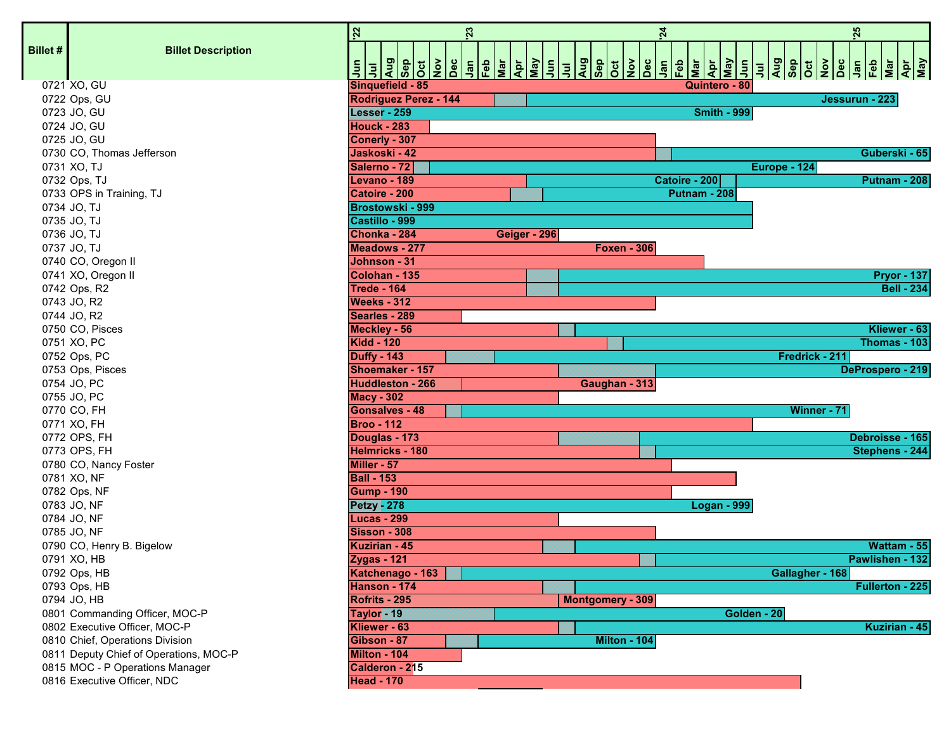|                 |                                        | 22                                       | 23 |              |                    | $\overline{24}$     |             |                 | 25             |                               |
|-----------------|----------------------------------------|------------------------------------------|----|--------------|--------------------|---------------------|-------------|-----------------|----------------|-------------------------------|
| <b>Billet #</b> | <b>Billet Description</b>              |                                          |    |              |                    |                     |             |                 |                |                               |
|                 |                                        |                                          |    |              |                    |                     |             |                 |                | $\frac{ \vec{a} }{ \vec{a} }$ |
|                 | 0721 XO, GU                            | Sinquefield - 85                         |    |              |                    | Quintero - 80       |             |                 |                |                               |
|                 | 0722 Ops, GU                           | <b>Rodriguez Perez - 144</b>             |    |              |                    |                     |             |                 | Jessurun - 223 |                               |
|                 | 0723 JO, GU                            | Lesser - 259                             |    |              |                    | <b>Smith - 999</b>  |             |                 |                |                               |
|                 | 0724 JO, GU                            | <b>Houck - 283</b>                       |    |              |                    |                     |             |                 |                |                               |
|                 | 0725 JO, GU                            | Conerly - 307                            |    |              |                    |                     |             |                 |                |                               |
|                 | 0730 CO, Thomas Jefferson              | Jaskoski - 42                            |    |              |                    |                     |             |                 |                | Guberski - 65                 |
|                 | 0731 XO, TJ                            | Salerno - 72                             |    |              |                    |                     |             | Europe - 124    |                |                               |
|                 | 0732 Ops, TJ                           | Levano - 189                             |    |              |                    | Catoire - 200       |             |                 |                | Putnam - 208                  |
|                 | 0733 OPS in Training, TJ               | Catoire - 200                            |    |              |                    | <b>Putnam - 208</b> |             |                 |                |                               |
|                 | 0734 JO, TJ                            | Brostowski - 999                         |    |              |                    |                     |             |                 |                |                               |
|                 | 0735 JO, TJ                            | Castillo - 999                           |    |              |                    |                     |             |                 |                |                               |
|                 | 0736 JO, TJ                            | Chonka - 284                             |    | Geiger - 296 |                    |                     |             |                 |                |                               |
|                 | 0737 JO, TJ                            | <b>Meadows - 277</b>                     |    |              | <b>Foxen - 306</b> |                     |             |                 |                |                               |
|                 | 0740 CO, Oregon II                     | Johnson - 31                             |    |              |                    |                     |             |                 |                |                               |
|                 | 0741 XO, Oregon II                     | Colohan - 135                            |    |              |                    |                     |             |                 |                | <b>Pryor - 137</b>            |
|                 | 0742 Ops, R2                           | <b>Trede - 164</b>                       |    |              |                    |                     |             |                 |                | <b>Bell - 234</b>             |
|                 | 0743 JO, R2                            | <b>Weeks - 312</b>                       |    |              |                    |                     |             |                 |                |                               |
|                 | 0744 JO, R2                            | Searles - 289                            |    |              |                    |                     |             |                 |                |                               |
|                 | 0750 CO, Pisces                        | Meckley - 56                             |    |              |                    |                     |             |                 |                | Kliewer - 63                  |
|                 | 0751 XO, PC                            | <b>Kidd - 120</b>                        |    |              |                    |                     |             |                 |                | Thomas - 103                  |
|                 | 0752 Ops, PC                           | <b>Duffy - 143</b>                       |    |              |                    |                     |             | Fredrick - 211  |                |                               |
|                 | 0753 Ops, Pisces                       | Shoemaker - 157                          |    |              |                    |                     |             |                 |                | DeProspero - 219              |
|                 | 0754 JO, PC                            | <b>Huddleston - 266</b>                  |    |              | Gaughan - 313      |                     |             |                 |                |                               |
|                 | 0755 JO, PC                            | <b>Macy - 302</b>                        |    |              |                    |                     |             |                 |                |                               |
|                 | 0770 CO, FH                            | <b>Gonsalves - 48</b>                    |    |              |                    |                     |             | Winner - 71     |                |                               |
|                 | 0771 XO, FH                            | <b>Broo - 112</b>                        |    |              |                    |                     |             |                 |                |                               |
|                 | 0772 OPS, FH                           | Douglas - 173                            |    |              |                    |                     |             |                 |                | Debroisse - 165               |
|                 | 0773 OPS, FH                           | Helmricks - 180                          |    |              |                    |                     |             |                 |                | Stephens - 244                |
|                 | 0780 CO, Nancy Foster                  | Miller - 57                              |    |              |                    |                     |             |                 |                |                               |
|                 | 0781 XO, NF                            | <b>Ball - 153</b>                        |    |              |                    |                     |             |                 |                |                               |
|                 | 0782 Ops, NF                           | <b>Gump - 190</b>                        |    |              |                    |                     |             |                 |                |                               |
|                 | 0783 JO, NF                            | <b>Petzy - 278</b><br><b>Lucas - 299</b> |    |              |                    | <b>Logan - 999</b>  |             |                 |                |                               |
|                 | 0784 JO, NF                            | <b>Sisson - 308</b>                      |    |              |                    |                     |             |                 |                |                               |
|                 | 0785 JO, NF                            | <b>Kuzirian - 45</b>                     |    |              |                    |                     |             |                 |                | Wattam - 55                   |
|                 | 0790 CO, Henry B. Bigelow              |                                          |    |              |                    |                     |             |                 |                | Pawlishen - 132               |
|                 | 0791 XO, HB<br>0792 Ops, HB            | <b>Zygas - 121</b><br>Katchenago - 163   |    |              |                    |                     |             | Gallagher - 168 |                |                               |
|                 | 0793 Ops, HB                           | Hanson - 174                             |    |              |                    |                     |             |                 |                | Fullerton - 225               |
|                 | 0794 JO, HB                            | Rofrits - 295                            |    |              | Montgomery - 309   |                     |             |                 |                |                               |
|                 | 0801 Commanding Officer, MOC-P         |                                          |    |              |                    |                     | Golden - 20 |                 |                |                               |
|                 | 0802 Executive Officer, MOC-P          | Taylor-19<br>Kliewer - 63                |    |              |                    |                     |             |                 |                | Kuzirian - 45                 |
|                 | 0810 Chief, Operations Division        | Gibson - 87                              |    |              | Milton - 104       |                     |             |                 |                |                               |
|                 | 0811 Deputy Chief of Operations, MOC-P | Milton - 104                             |    |              |                    |                     |             |                 |                |                               |
|                 | 0815 MOC - P Operations Manager        | Calderon - 215                           |    |              |                    |                     |             |                 |                |                               |
|                 | 0816 Executive Officer, NDC            | <b>Head - 170</b>                        |    |              |                    |                     |             |                 |                |                               |
|                 |                                        |                                          |    |              |                    |                     |             |                 |                |                               |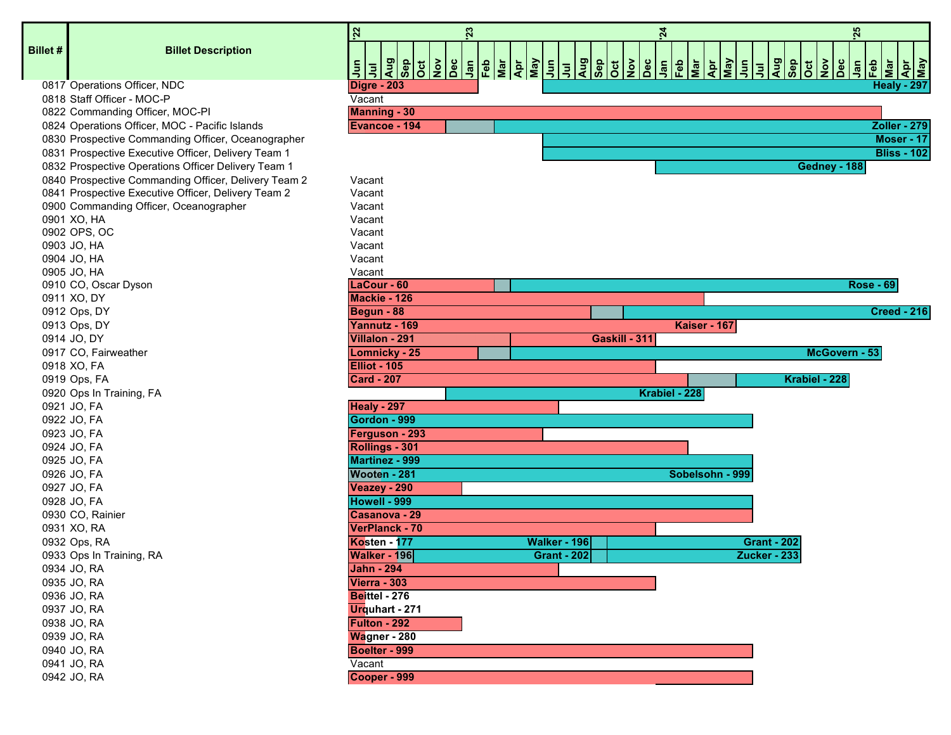**Billet #**

## **Billet Description**

| llet # | <b>Billet Description</b>                                                         | 22<br>을                              | 23<br><u> = = \$ 8 \$ \$ &amp; = &amp; &amp; \$ </u> |                     | $\begin{array}{ c c c c c }\hline \frac{1}{2} & \frac{1}{2} & \frac{1}{2} & \frac{1}{2} & \frac{1}{2} \\ \hline \frac{1}{2} & \frac{1}{2} & \frac{1}{2} & \frac{1}{2} & \frac{1}{2} & \frac{1}{2} \\ \hline \end{array}$ | 24<br><u>naldier</u> | $\frac{ \tilde{\mathbf{z}} }{ \tilde{\mathbf{z}} }$<br>1 | 25<br>$\frac{\log  z }{\log  z }$ | <b>Teb</b><br>Teb<br>Mar | <b>Apr</b><br>May  |
|--------|-----------------------------------------------------------------------------------|--------------------------------------|------------------------------------------------------|---------------------|--------------------------------------------------------------------------------------------------------------------------------------------------------------------------------------------------------------------------|----------------------|----------------------------------------------------------|-----------------------------------|--------------------------|--------------------|
|        | 0817 Operations Officer, NDC                                                      | Digre - 203                          |                                                      |                     |                                                                                                                                                                                                                          |                      |                                                          |                                   |                          | <b>Healy - 297</b> |
|        | 0818 Staff Officer - MOC-P                                                        | Vacant                               |                                                      |                     |                                                                                                                                                                                                                          |                      |                                                          |                                   |                          |                    |
|        | 0822 Commanding Officer, MOC-PI<br>0824 Operations Officer, MOC - Pacific Islands | <b>Manning - 30</b><br>Evancoe - 194 |                                                      |                     |                                                                                                                                                                                                                          |                      |                                                          |                                   |                          | Zoller - 279       |
|        | 0830 Prospective Commanding Officer, Oceanographer                                |                                      |                                                      |                     |                                                                                                                                                                                                                          |                      |                                                          |                                   |                          | Moser - 17         |
|        | 0831 Prospective Executive Officer, Delivery Team 1                               |                                      |                                                      |                     |                                                                                                                                                                                                                          |                      |                                                          |                                   |                          | <b>Bliss - 102</b> |
|        | 0832 Prospective Operations Officer Delivery Team 1                               |                                      |                                                      |                     |                                                                                                                                                                                                                          |                      |                                                          | Gedney - 188                      |                          |                    |
|        | 0840 Prospective Commanding Officer, Delivery Team 2                              | Vacant                               |                                                      |                     |                                                                                                                                                                                                                          |                      |                                                          |                                   |                          |                    |
|        | 0841 Prospective Executive Officer, Delivery Team 2                               | Vacant                               |                                                      |                     |                                                                                                                                                                                                                          |                      |                                                          |                                   |                          |                    |
|        | 0900 Commanding Officer, Oceanographer                                            | Vacant                               |                                                      |                     |                                                                                                                                                                                                                          |                      |                                                          |                                   |                          |                    |
|        | 0901 XO, HA                                                                       | Vacant                               |                                                      |                     |                                                                                                                                                                                                                          |                      |                                                          |                                   |                          |                    |
|        | 0902 OPS, OC                                                                      | Vacant                               |                                                      |                     |                                                                                                                                                                                                                          |                      |                                                          |                                   |                          |                    |
|        | 0903 JO, HA                                                                       | Vacant                               |                                                      |                     |                                                                                                                                                                                                                          |                      |                                                          |                                   |                          |                    |
|        | 0904 JO, HA                                                                       | Vacant                               |                                                      |                     |                                                                                                                                                                                                                          |                      |                                                          |                                   |                          |                    |
|        | 0905 JO, HA                                                                       | Vacant                               |                                                      |                     |                                                                                                                                                                                                                          |                      |                                                          |                                   |                          |                    |
|        | 0910 CO, Oscar Dyson                                                              | LaCour - 60                          |                                                      |                     |                                                                                                                                                                                                                          |                      |                                                          |                                   | <b>Rose - 69</b>         |                    |
|        | 0911 XO, DY                                                                       | Mackie - 126                         |                                                      |                     |                                                                                                                                                                                                                          |                      |                                                          |                                   |                          |                    |
|        | 0912 Ops, DY                                                                      | Begun - 88                           |                                                      |                     |                                                                                                                                                                                                                          |                      |                                                          |                                   |                          | <b>Creed - 216</b> |
|        | 0913 Ops, DY                                                                      | Yannutz - 169                        |                                                      |                     |                                                                                                                                                                                                                          | Kaiser - 167         |                                                          |                                   |                          |                    |
|        | 0914 JO, DY                                                                       | Villalon - 291                       |                                                      |                     | Gaskill - 311                                                                                                                                                                                                            |                      |                                                          |                                   |                          |                    |
|        | 0917 CO, Fairweather                                                              | <b>Lomnicky - 25</b>                 |                                                      |                     |                                                                                                                                                                                                                          |                      |                                                          | McGovern - 53                     |                          |                    |
|        | 0918 XO, FA                                                                       | Elliot - 105                         |                                                      |                     |                                                                                                                                                                                                                          |                      |                                                          |                                   |                          |                    |
|        | 0919 Ops, FA                                                                      | <b>Card - 207</b>                    |                                                      |                     |                                                                                                                                                                                                                          |                      |                                                          | Krabiel - 228                     |                          |                    |
|        | 0920 Ops In Training, FA                                                          |                                      |                                                      |                     |                                                                                                                                                                                                                          | Krabiel - 228        |                                                          |                                   |                          |                    |
|        | 0921 JO, FA                                                                       | <b>Healy - 297</b>                   |                                                      |                     |                                                                                                                                                                                                                          |                      |                                                          |                                   |                          |                    |
|        | 0922 JO, FA                                                                       | Gordon - 999                         |                                                      |                     |                                                                                                                                                                                                                          |                      |                                                          |                                   |                          |                    |
|        | 0923 JO, FA                                                                       | Ferguson - 293                       |                                                      |                     |                                                                                                                                                                                                                          |                      |                                                          |                                   |                          |                    |
|        | 0924 JO, FA                                                                       | Rollings - 301                       |                                                      |                     |                                                                                                                                                                                                                          |                      |                                                          |                                   |                          |                    |
|        | 0925 JO, FA                                                                       | <b>Martinez - 999</b>                |                                                      |                     |                                                                                                                                                                                                                          |                      |                                                          |                                   |                          |                    |
|        | 0926 JO, FA                                                                       | Wooten - 281                         |                                                      |                     |                                                                                                                                                                                                                          | Sobelsohn - 999      |                                                          |                                   |                          |                    |
|        | 0927 JO, FA<br>0928 JO, FA                                                        | Veazey - 290<br>Howell - 999         |                                                      |                     |                                                                                                                                                                                                                          |                      |                                                          |                                   |                          |                    |
|        | 0930 CO, Rainier                                                                  | Casanova - 29                        |                                                      |                     |                                                                                                                                                                                                                          |                      |                                                          |                                   |                          |                    |
|        | 0931 XO, RA                                                                       | VerPlanck - 70                       |                                                      |                     |                                                                                                                                                                                                                          |                      |                                                          |                                   |                          |                    |
|        | 0932 Ops, RA                                                                      | Kosten - 177                         |                                                      | <b>Walker - 196</b> |                                                                                                                                                                                                                          |                      | <b>Grant - 202</b>                                       |                                   |                          |                    |
|        | 0933 Ops In Training, RA                                                          | <b>Walker - 196</b>                  |                                                      | <b>Grant - 202</b>  |                                                                                                                                                                                                                          |                      | Zucker - 233                                             |                                   |                          |                    |
|        | 0934 JO, RA                                                                       | <b>Jahn - 294</b>                    |                                                      |                     |                                                                                                                                                                                                                          |                      |                                                          |                                   |                          |                    |
|        | 0935 JO, RA                                                                       | <b>Vierra - 303</b>                  |                                                      |                     |                                                                                                                                                                                                                          |                      |                                                          |                                   |                          |                    |
|        | 0936 JO, RA                                                                       | Beittel - 276                        |                                                      |                     |                                                                                                                                                                                                                          |                      |                                                          |                                   |                          |                    |
|        | 0937 JO, RA                                                                       | Urquhart - 271                       |                                                      |                     |                                                                                                                                                                                                                          |                      |                                                          |                                   |                          |                    |
|        | 0938 JO, RA                                                                       | Fulton - 292                         |                                                      |                     |                                                                                                                                                                                                                          |                      |                                                          |                                   |                          |                    |
|        | 0939 JO, RA                                                                       | Wagner - 280                         |                                                      |                     |                                                                                                                                                                                                                          |                      |                                                          |                                   |                          |                    |
|        | 0940 JO, RA                                                                       | Boelter - 999                        |                                                      |                     |                                                                                                                                                                                                                          |                      |                                                          |                                   |                          |                    |
|        | 0941 JO, RA                                                                       | Vacant                               |                                                      |                     |                                                                                                                                                                                                                          |                      |                                                          |                                   |                          |                    |
|        | 0942 JO, RA                                                                       | Cooper - 999                         |                                                      |                     |                                                                                                                                                                                                                          |                      |                                                          |                                   |                          |                    |
|        |                                                                                   |                                      |                                                      |                     |                                                                                                                                                                                                                          |                      |                                                          |                                   |                          |                    |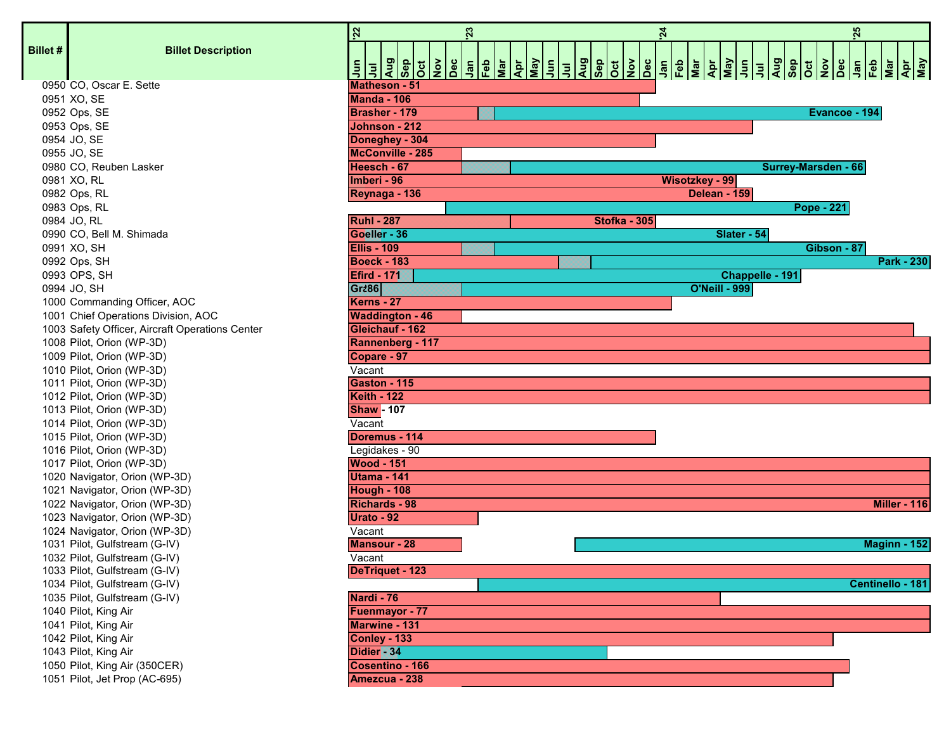|                |                                                                | 22                               | 23 | 24                  |                       |                 |                     | 25 |                     |
|----------------|----------------------------------------------------------------|----------------------------------|----|---------------------|-----------------------|-----------------|---------------------|----|---------------------|
| <b>Billet#</b> | <b>Billet Description</b>                                      |                                  |    |                     |                       |                 |                     |    |                     |
|                |                                                                |                                  |    |                     |                       |                 |                     |    |                     |
|                | 0950 CO, Oscar E. Sette                                        | Matheson - 51                    |    |                     |                       |                 |                     |    |                     |
|                | 0951 XO, SE                                                    | <b>Manda - 106</b>               |    |                     |                       |                 |                     |    |                     |
|                | 0952 Ops, SE                                                   | <b>Brasher - 179</b>             |    |                     |                       |                 | Evancoe - 194       |    |                     |
|                | 0953 Ops, SE                                                   | Johnson - 212                    |    |                     |                       |                 |                     |    |                     |
|                | 0954 JO, SE                                                    | Doneghey - 304                   |    |                     |                       |                 |                     |    |                     |
|                | 0955 JO, SE                                                    | McConville - 285                 |    |                     |                       |                 |                     |    |                     |
|                | 0980 CO, Reuben Lasker                                         | Heesch - 67                      |    |                     |                       |                 | Surrey-Marsden - 66 |    |                     |
|                | 0981 XO, RL                                                    | Imberi - 96                      |    |                     | <b>Wisotzkey - 99</b> |                 |                     |    |                     |
|                | 0982 Ops, RL                                                   | Reynaga - 136                    |    |                     | Delean - 159          |                 |                     |    |                     |
|                | 0983 Ops, RL                                                   |                                  |    |                     |                       |                 | <b>Pope - 221</b>   |    |                     |
|                | 0984 JO, RL                                                    | <b>Ruhl-287</b>                  |    | <b>Stofka - 305</b> |                       |                 |                     |    |                     |
|                | 0990 CO, Bell M. Shimada                                       | Goeller - 36                     |    |                     |                       | Slater - 54     |                     |    |                     |
|                | 0991 XO, SH                                                    | <b>Ellis - 109</b>               |    |                     |                       |                 | Gibson - 87         |    |                     |
|                | 0992 Ops, SH                                                   | <b>Boeck - 183</b>               |    |                     |                       |                 |                     |    | <b>Park - 230</b>   |
|                | 0993 OPS, SH                                                   | <b>Efird - 171</b>               |    |                     |                       | Chappelle - 191 |                     |    |                     |
|                | 0994 JO, SH                                                    | Grass                            |    |                     | <b>O'Neill - 999</b>  |                 |                     |    |                     |
|                | 1000 Commanding Officer, AOC                                   | Kerns - 27                       |    |                     |                       |                 |                     |    |                     |
|                | 1001 Chief Operations Division, AOC                            | <b>Waddington - 46</b>           |    |                     |                       |                 |                     |    |                     |
|                | 1003 Safety Officer, Aircraft Operations Center                | Gleichauf - 162                  |    |                     |                       |                 |                     |    |                     |
|                | 1008 Pilot, Orion (WP-3D)                                      | Rannenberg - 117                 |    |                     |                       |                 |                     |    |                     |
|                | 1009 Pilot, Orion (WP-3D)                                      | Copare - 97                      |    |                     |                       |                 |                     |    |                     |
|                | 1010 Pilot, Orion (WP-3D)                                      | Vacant                           |    |                     |                       |                 |                     |    |                     |
|                | 1011 Pilot, Orion (WP-3D)                                      | <b>Gaston - 115</b>              |    |                     |                       |                 |                     |    |                     |
|                | 1012 Pilot, Orion (WP-3D)                                      | <b>Keith - 122</b>               |    |                     |                       |                 |                     |    |                     |
|                | 1013 Pilot, Orion (WP-3D)                                      | <b>Shaw - 107</b>                |    |                     |                       |                 |                     |    |                     |
|                | 1014 Pilot, Orion (WP-3D)                                      | Vacant                           |    |                     |                       |                 |                     |    |                     |
|                | 1015 Pilot, Orion (WP-3D)                                      | Doremus - 114                    |    |                     |                       |                 |                     |    |                     |
|                | 1016 Pilot, Orion (WP-3D)                                      | Legidakes - 90                   |    |                     |                       |                 |                     |    |                     |
|                | 1017 Pilot, Orion (WP-3D)                                      | <b>Wood - 151</b>                |    |                     |                       |                 |                     |    |                     |
|                | 1020 Navigator, Orion (WP-3D)                                  | Utama - 141                      |    |                     |                       |                 |                     |    |                     |
|                | 1021 Navigator, Orion (WP-3D)                                  | <b>Hough - 108</b>               |    |                     |                       |                 |                     |    |                     |
|                | 1022 Navigator, Orion (WP-3D)                                  | <b>Richards - 98</b>             |    |                     |                       |                 |                     |    | <b>Miller - 116</b> |
|                | 1023 Navigator, Orion (WP-3D)                                  | Urato - 92                       |    |                     |                       |                 |                     |    |                     |
|                | 1024 Navigator, Orion (WP-3D)<br>1031 Pilot, Gulfstream (G-IV) | Vacant                           |    |                     |                       |                 |                     |    |                     |
|                |                                                                | <b>Mansour - 28</b>              |    |                     |                       |                 |                     |    | Maginn - 152        |
|                | 1032 Pilot, Gulfstream (G-IV)<br>1033 Pilot, Gulfstream (G-IV) | Vacant<br><b>DeTriquet - 123</b> |    |                     |                       |                 |                     |    |                     |
|                | 1034 Pilot, Gulfstream (G-IV)                                  |                                  |    |                     |                       |                 |                     |    | Centinello - 181    |
|                | 1035 Pilot, Gulfstream (G-IV)                                  | Nardi - 76                       |    |                     |                       |                 |                     |    |                     |
|                |                                                                |                                  |    |                     |                       |                 |                     |    |                     |
|                | 1040 Pilot, King Air<br>1041 Pilot, King Air                   | Fuenmayor - 77<br>Marwine - 131  |    |                     |                       |                 |                     |    |                     |
|                | 1042 Pilot, King Air                                           | Conley - 133                     |    |                     |                       |                 |                     |    |                     |
|                | 1043 Pilot, King Air                                           | Didier <sup>234</sup>            |    |                     |                       |                 |                     |    |                     |
|                | 1050 Pilot, King Air (350CER)                                  | Cosentino - 166                  |    |                     |                       |                 |                     |    |                     |
|                |                                                                | Amezcua - 238                    |    |                     |                       |                 |                     |    |                     |
|                | 1051 Pilot, Jet Prop (AC-695)                                  |                                  |    |                     |                       |                 |                     |    |                     |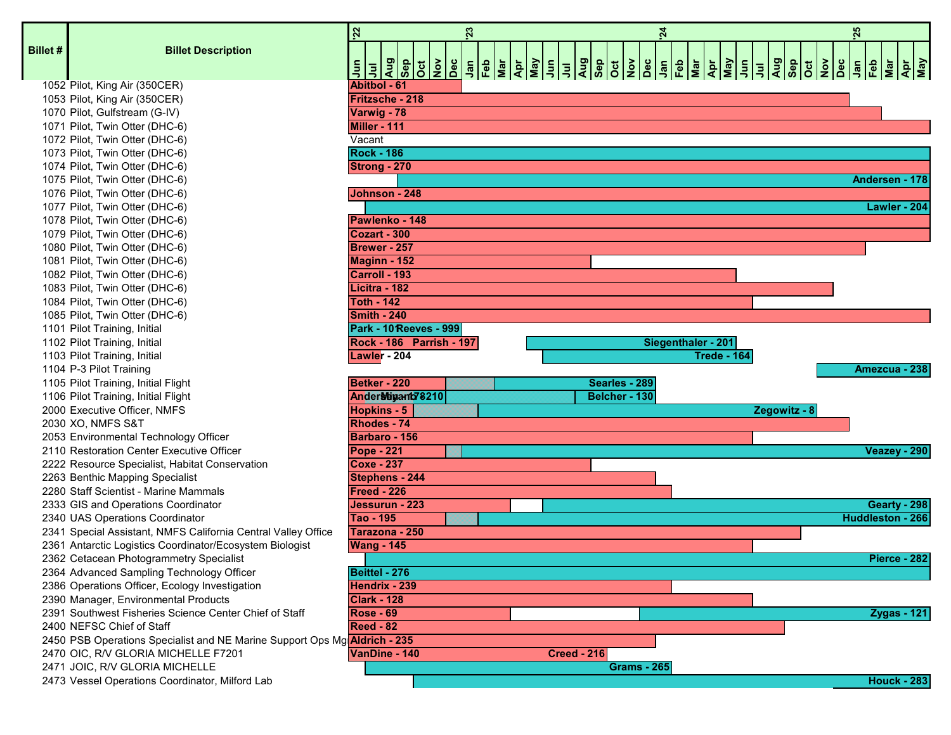| <b>Billet #</b> | <b>Billet Description</b>                                                        | 22<br>23<br>$\frac{1}{3}$ $\frac{1}{3}$ $\frac{1}{3}$ $\frac{1}{2}$ $\frac{1}{2}$ $\frac{1}{3}$ $\frac{1}{3}$ $\frac{1}{3}$ $\frac{1}{3}$ $\frac{1}{3}$ $\frac{1}{3}$ $\frac{1}{3}$ $\frac{1}{3}$ $\frac{1}{3}$ $\frac{1}{3}$ $\frac{1}{3}$<br>$\tilde{\vec{z}}$<br>$\bar{5}$ |
|-----------------|----------------------------------------------------------------------------------|-------------------------------------------------------------------------------------------------------------------------------------------------------------------------------------------------------------------------------------------------------------------------------|
|                 | 1052 Pilot, King Air (350CER)                                                    | <b>Abitbol - 61</b>                                                                                                                                                                                                                                                           |
|                 | 1053 Pilot, King Air (350CER)                                                    | Fritzsche - 218                                                                                                                                                                                                                                                               |
|                 | 1070 Pilot, Gulfstream (G-IV)                                                    | Varwig - 78                                                                                                                                                                                                                                                                   |
|                 | 1071 Pilot, Twin Otter (DHC-6)                                                   | Miller - 111                                                                                                                                                                                                                                                                  |
|                 | 1072 Pilot, Twin Otter (DHC-6)                                                   | Vacant                                                                                                                                                                                                                                                                        |
|                 | 1073 Pilot, Twin Otter (DHC-6)                                                   | <b>Rock - 186</b>                                                                                                                                                                                                                                                             |
|                 | 1074 Pilot, Twin Otter (DHC-6)                                                   | Strong - 270                                                                                                                                                                                                                                                                  |
|                 | 1075 Pilot, Twin Otter (DHC-6)                                                   |                                                                                                                                                                                                                                                                               |
|                 | 1076 Pilot, Twin Otter (DHC-6)                                                   | Johnson - 248                                                                                                                                                                                                                                                                 |
|                 | 1077 Pilot, Twin Otter (DHC-6)                                                   |                                                                                                                                                                                                                                                                               |
|                 | 1078 Pilot, Twin Otter (DHC-6)                                                   | Pawlenko - 148                                                                                                                                                                                                                                                                |
|                 | 1079 Pilot, Twin Otter (DHC-6)                                                   | <b>Cozart - 300</b>                                                                                                                                                                                                                                                           |
|                 | 1080 Pilot, Twin Otter (DHC-6)                                                   | <b>Brewer - 257</b>                                                                                                                                                                                                                                                           |
|                 | 1081 Pilot, Twin Otter (DHC-6)                                                   | Maginn - 152                                                                                                                                                                                                                                                                  |
|                 | 1082 Pilot, Twin Otter (DHC-6)                                                   | Carroll - 193                                                                                                                                                                                                                                                                 |
|                 | 1083 Pilot, Twin Otter (DHC-6)                                                   | Licitra - 182                                                                                                                                                                                                                                                                 |
|                 | 1084 Pilot, Twin Otter (DHC-6)                                                   | <b>Toth - 142</b>                                                                                                                                                                                                                                                             |
|                 | 1085 Pilot, Twin Otter (DHC-6)                                                   | Smith - 240                                                                                                                                                                                                                                                                   |
|                 | 1101 Pilot Training, Initial                                                     | <b>Park - 10 Reeves - 999</b>                                                                                                                                                                                                                                                 |
|                 | 1102 Pilot Training, Initial                                                     | <b>Rock - 186 Parrish - 197</b>                                                                                                                                                                                                                                               |
|                 | 1103 Pilot Training, Initial                                                     | Lawler - 204                                                                                                                                                                                                                                                                  |
|                 | 1104 P-3 Pilot Training                                                          |                                                                                                                                                                                                                                                                               |
|                 | 1105 Pilot Training, Initial Flight                                              | Betker - 220<br>Sea                                                                                                                                                                                                                                                           |
|                 | 1106 Pilot Training, Initial Flight                                              | Ander Neigant 78210<br><b>Bel</b>                                                                                                                                                                                                                                             |
|                 | 2000 Executive Officer, NMFS                                                     | <b>Hopkins - 5</b>                                                                                                                                                                                                                                                            |
|                 | 2030 XO, NMFS S&T                                                                | Rhodes - 74                                                                                                                                                                                                                                                                   |
|                 | 2053 Environmental Technology Officer                                            | Barbaro - 156                                                                                                                                                                                                                                                                 |
|                 | 2110 Restoration Center Executive Officer                                        | <b>Pope - 221</b>                                                                                                                                                                                                                                                             |
|                 | 2222 Resource Specialist, Habitat Conservation                                   | <b>Coxe - 237</b>                                                                                                                                                                                                                                                             |
|                 | 2263 Benthic Mapping Specialist                                                  | Stephens - 244                                                                                                                                                                                                                                                                |
|                 | 2280 Staff Scientist - Marine Mammals                                            | <b>Freed - 226</b>                                                                                                                                                                                                                                                            |
|                 | 2333 GIS and Operations Coordinator                                              | Jessurun - 223                                                                                                                                                                                                                                                                |
|                 | 2340 UAS Operations Coordinator                                                  | Tao - 195                                                                                                                                                                                                                                                                     |
|                 | 2341 Special Assistant, NMFS California Central Valley Office                    | Tarazona - 250                                                                                                                                                                                                                                                                |
|                 | 2361 Antarctic Logistics Coordinator/Ecosystem Biologist                         | <b>Wang - 145</b>                                                                                                                                                                                                                                                             |
|                 | 2362 Cetacean Photogrammetry Specialist                                          |                                                                                                                                                                                                                                                                               |
|                 | 2364 Advanced Sampling Technology Officer                                        | Beittel - 276                                                                                                                                                                                                                                                                 |
|                 | 2386 Operations Officer, Ecology Investigation                                   | Hendrix - 239                                                                                                                                                                                                                                                                 |
|                 | 2390 Manager, Environmental Products                                             | <b>Clark - 128</b>                                                                                                                                                                                                                                                            |
|                 | 2391 Southwest Fisheries Science Center Chief of Staff                           | <b>Rose - 69</b>                                                                                                                                                                                                                                                              |
|                 | 2400 NEFSC Chief of Staff                                                        | <b>Reed - 82</b>                                                                                                                                                                                                                                                              |
|                 | 2450 PSB Operations Specialist and NE Marine Support Ops Mg <b>Aldrich - 235</b> |                                                                                                                                                                                                                                                                               |
|                 | 2470 OIC, R/V GLORIA MICHELLE F7201                                              | VanDine - 140<br><b>Creed - 216</b>                                                                                                                                                                                                                                           |
|                 | 2471 JOIC, R/V GLORIA MICHELLE                                                   |                                                                                                                                                                                                                                                                               |
|                 | 2473 Vessel Operations Coordinator, Milford Lab                                  |                                                                                                                                                                                                                                                                               |

|       |                                                                                  | 22<br>25<br>$\boldsymbol{z}$<br>$\mathbf{z}$    |
|-------|----------------------------------------------------------------------------------|-------------------------------------------------|
| let # | <b>Billet Description</b>                                                        |                                                 |
|       |                                                                                  | Abitbol - 61                                    |
|       | 1052 Pilot, King Air (350CER)<br>1053 Pilot, King Air (350CER)                   | <b>Fritzsche - 218</b>                          |
|       | 1070 Pilot, Gulfstream (G-IV)                                                    | Varwig - 78                                     |
|       | 1071 Pilot, Twin Otter (DHC-6)                                                   | Miller - 111                                    |
|       | 1072 Pilot, Twin Otter (DHC-6)                                                   | Vacant                                          |
|       | 1073 Pilot, Twin Otter (DHC-6)                                                   | <b>Rock - 186</b>                               |
|       | 1074 Pilot, Twin Otter (DHC-6)                                                   | Strong - 270                                    |
|       | 1075 Pilot, Twin Otter (DHC-6)                                                   | Andersen - 178                                  |
|       |                                                                                  | Johnson - 248                                   |
|       | 1076 Pilot, Twin Otter (DHC-6)                                                   | Lawler - 204                                    |
|       | 1077 Pilot, Twin Otter (DHC-6)                                                   |                                                 |
|       | 1078 Pilot, Twin Otter (DHC-6)                                                   | Pawlenko - 148<br>Cozart - 300                  |
|       | 1079 Pilot, Twin Otter (DHC-6)                                                   |                                                 |
|       | 1080 Pilot, Twin Otter (DHC-6)                                                   | Brewer - 257                                    |
|       | 1081 Pilot, Twin Otter (DHC-6)                                                   | <b>Maginn - 152</b>                             |
|       | 1082 Pilot, Twin Otter (DHC-6)                                                   | Carroll - 193                                   |
|       | 1083 Pilot, Twin Otter (DHC-6)                                                   | Licitra - 182                                   |
|       | 1084 Pilot, Twin Otter (DHC-6)                                                   | <b>Toth - 142</b>                               |
|       | 1085 Pilot, Twin Otter (DHC-6)                                                   | Smith - 240                                     |
|       | 1101 Pilot Training, Initial                                                     | <b>Park - 10 Reeves - 999</b>                   |
|       | 1102 Pilot Training, Initial                                                     | Rock - 186  Parrish - 197<br>Siegenthaler - 201 |
|       | 1103 Pilot Training, Initial                                                     | Lawler - 204<br><b>Trede - 164</b>              |
|       | 1104 P-3 Pilot Training                                                          | Amezcua - 238                                   |
|       | 1105 Pilot Training, Initial Flight                                              | Betker - 220<br>Searles - 289                   |
|       | 1106 Pilot Training, Initial Flight                                              | Anderstügant78210<br>Belcher - 130              |
|       | 2000 Executive Officer, NMFS                                                     | <b>Hopkins - 5</b><br>Zegowitz - 8              |
|       | 2030 XO, NMFS S&T                                                                | Rhodes - 74                                     |
|       | 2053 Environmental Technology Officer                                            | Barbaro - 156                                   |
|       | 2110 Restoration Center Executive Officer                                        | $Pope - 221$<br>Veazey - 290                    |
|       | 2222 Resource Specialist, Habitat Conservation                                   | <b>Coxe - 237</b>                               |
|       | 2263 Benthic Mapping Specialist                                                  | Stephens - 244                                  |
|       | 2280 Staff Scientist - Marine Mammals                                            | Freed - 226                                     |
|       | 2333 GIS and Operations Coordinator                                              | Jessurun - 223<br>Gearty - 298                  |
|       | 2340 UAS Operations Coordinator                                                  | Huddleston - 266<br>Tao - 195                   |
|       | 2341 Special Assistant, NMFS California Central Valley Office                    | Tarazona - 250                                  |
|       | 2361 Antarctic Logistics Coordinator/Ecosystem Biologist                         | <b>Wang - 145</b>                               |
|       | 2362 Cetacean Photogrammetry Specialist                                          | Pierce - 282                                    |
|       | 2364 Advanced Sampling Technology Officer                                        | Beittel - 276                                   |
|       | 2386 Operations Officer, Ecology Investigation                                   | Hendrix - 239                                   |
|       | 2390 Manager, Environmental Products                                             | <b>Clark - 128</b>                              |
|       | 2391 Southwest Fisheries Science Center Chief of Staff                           | <b>Rose - 69</b><br><b>Zygas - 121</b>          |
|       | 2400 NEFSC Chief of Staff                                                        | <b>Reed - 82</b>                                |
|       | 2450 PSB Operations Specialist and NE Marine Support Ops Mg <b>Aldrich - 235</b> |                                                 |
|       | 2470 OIC, R/V GLORIA MICHELLE F7201                                              | <b>Creed - 216</b><br>VanDine - 140             |
|       | 2471 JOIC, R/V GLORIA MICHELLE                                                   | <b>Grams - 265</b>                              |
|       | 2473 Vessel Operations Coordinator, Milford Lab                                  | <b>Houck - 2831</b>                             |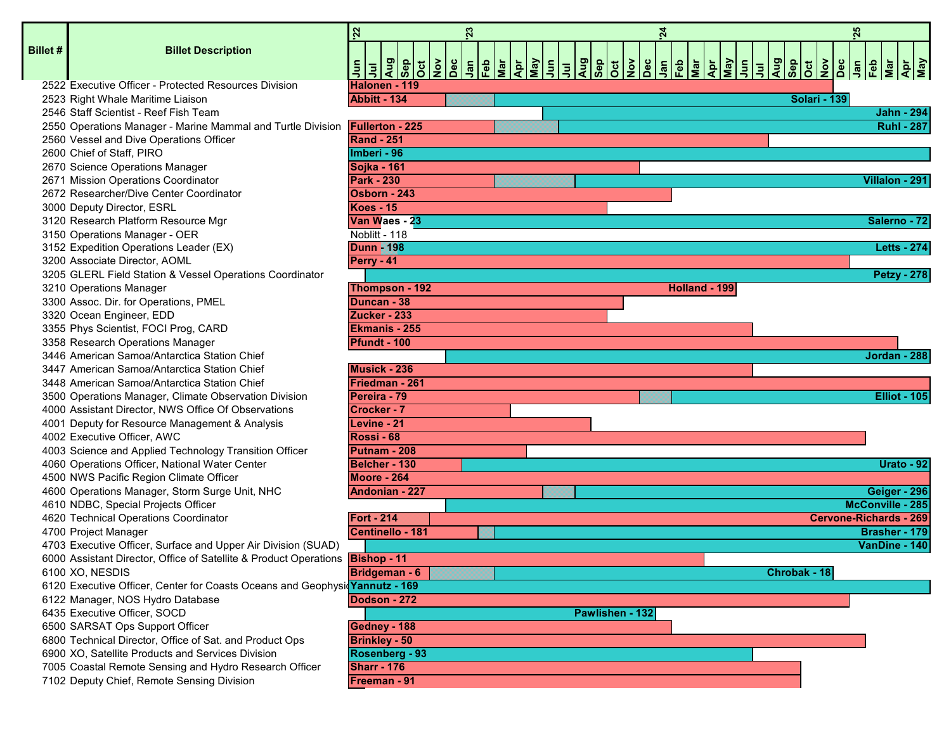|          |                                                                                      | 22                      | 23 |  |                 | $\overline{24}$ |               |                                                     |              |                     | 25                            |                     |                   |
|----------|--------------------------------------------------------------------------------------|-------------------------|----|--|-----------------|-----------------|---------------|-----------------------------------------------------|--------------|---------------------|-------------------------------|---------------------|-------------------|
| Billet # | <b>Billet Description</b>                                                            |                         |    |  |                 |                 |               |                                                     |              |                     |                               |                     |                   |
|          |                                                                                      |                         |    |  |                 |                 |               |                                                     |              |                     |                               |                     |                   |
|          |                                                                                      | $\overline{5}$          |    |  |                 |                 |               | <u> \$ \$ \$ = \$ \$ \$ \$ &amp; \$ \$ \$ \$ \$</u> |              |                     |                               |                     |                   |
|          | 2522 Executive Officer - Protected Resources Division                                | Halonen - 119           |    |  |                 |                 |               |                                                     |              |                     |                               |                     |                   |
|          | 2523 Right Whale Maritime Liaison                                                    | Abbitt - 134            |    |  |                 |                 |               |                                                     |              | <b>Solari - 139</b> |                               |                     |                   |
|          | 2546 Staff Scientist - Reef Fish Team                                                |                         |    |  |                 |                 |               |                                                     |              |                     |                               | <b>Jahn - 294</b>   |                   |
|          | 2550 Operations Manager - Marine Mammal and Turtle Division                          | <b>Fullerton - 225</b>  |    |  |                 |                 |               |                                                     |              |                     |                               |                     | <b>Ruhl - 287</b> |
|          | 2560 Vessel and Dive Operations Officer                                              | <b>Rand - 251</b>       |    |  |                 |                 |               |                                                     |              |                     |                               |                     |                   |
|          | 2600 Chief of Staff, PIRO                                                            | Imberi - 96             |    |  |                 |                 |               |                                                     |              |                     |                               |                     |                   |
|          | 2670 Science Operations Manager                                                      | <b>Sojka - 161</b>      |    |  |                 |                 |               |                                                     |              |                     |                               |                     |                   |
|          | 2671 Mission Operations Coordinator                                                  | <b>Park - 230</b>       |    |  |                 |                 |               |                                                     |              |                     |                               | Villalon - 291      |                   |
|          | 2672 Researcher/Dive Center Coordinator                                              | Osborn - 243            |    |  |                 |                 |               |                                                     |              |                     |                               |                     |                   |
|          | 3000 Deputy Director, ESRL                                                           | <b>Koes - 15</b>        |    |  |                 |                 |               |                                                     |              |                     |                               |                     |                   |
|          | 3120 Research Platform Resource Mgr                                                  | Van Waes - 23           |    |  |                 |                 |               |                                                     |              |                     |                               | Salerno - 72        |                   |
|          | 3150 Operations Manager - OER                                                        | Noblitt - 118           |    |  |                 |                 |               |                                                     |              |                     |                               |                     |                   |
|          | 3152 Expedition Operations Leader (EX)                                               | <b>Dunn #198</b>        |    |  |                 |                 |               |                                                     |              |                     |                               | <b>Letts - 274</b>  |                   |
|          | 3200 Associate Director, AOML                                                        | Perry - 41              |    |  |                 |                 |               |                                                     |              |                     |                               |                     |                   |
|          | 3205 GLERL Field Station & Vessel Operations Coordinator                             |                         |    |  |                 |                 |               |                                                     |              |                     |                               | <b>Petzy - 278</b>  |                   |
|          | 3210 Operations Manager                                                              | Thompson - 192          |    |  |                 |                 | Holland - 199 |                                                     |              |                     |                               |                     |                   |
|          | 3300 Assoc. Dir. for Operations, PMEL                                                | Duncan - 38             |    |  |                 |                 |               |                                                     |              |                     |                               |                     |                   |
|          | 3320 Ocean Engineer, EDD                                                             | Zucker - 233            |    |  |                 |                 |               |                                                     |              |                     |                               |                     |                   |
|          | 3355 Phys Scientist, FOCI Prog, CARD                                                 | <b>Ekmanis - 255</b>    |    |  |                 |                 |               |                                                     |              |                     |                               |                     |                   |
|          | 3358 Research Operations Manager                                                     | <b>Pfundt - 100</b>     |    |  |                 |                 |               |                                                     |              |                     |                               |                     |                   |
|          | 3446 American Samoa/Antarctica Station Chief                                         |                         |    |  |                 |                 |               |                                                     |              |                     |                               | Jordan - 288        |                   |
|          | 3447 American Samoa/Antarctica Station Chief                                         | Musick - 236            |    |  |                 |                 |               |                                                     |              |                     |                               |                     |                   |
|          | 3448 American Samoa/Antarctica Station Chief                                         | Friedman - 261          |    |  |                 |                 |               |                                                     |              |                     |                               |                     |                   |
|          | 3500 Operations Manager, Climate Observation Division                                | Pereira - 79            |    |  |                 |                 |               |                                                     |              |                     |                               | <b>Elliot - 105</b> |                   |
|          | 4000 Assistant Director, NWS Office Of Observations                                  | Crocker - 7             |    |  |                 |                 |               |                                                     |              |                     |                               |                     |                   |
|          | 4001 Deputy for Resource Management & Analysis                                       | Levine - 21             |    |  |                 |                 |               |                                                     |              |                     |                               |                     |                   |
|          | 4002 Executive Officer, AWC                                                          | Rossi - 68              |    |  |                 |                 |               |                                                     |              |                     |                               |                     |                   |
|          | 4003 Science and Applied Technology Transition Officer                               | Putnam - 208            |    |  |                 |                 |               |                                                     |              |                     |                               |                     |                   |
|          | 4060 Operations Officer, National Water Center                                       | <b>Belcher - 130</b>    |    |  |                 |                 |               |                                                     |              |                     |                               |                     | Urato - 92        |
|          | 4500 NWS Pacific Region Climate Officer                                              | Moore - 264             |    |  |                 |                 |               |                                                     |              |                     |                               |                     |                   |
|          | 4600 Operations Manager, Storm Surge Unit, NHC                                       | <b>Andonian - 227</b>   |    |  |                 |                 |               |                                                     |              |                     |                               | Geiger - 296        |                   |
|          | 4610 NDBC, Special Projects Officer                                                  |                         |    |  |                 |                 |               |                                                     |              |                     | McConville - 285              |                     |                   |
|          | 4620 Technical Operations Coordinator                                                | <b>Fort - 214</b>       |    |  |                 |                 |               |                                                     |              |                     | <b>Cervone-Richards - 269</b> |                     |                   |
|          | 4700 Project Manager                                                                 | <b>Centinello - 181</b> |    |  |                 |                 |               |                                                     |              |                     |                               | Brasher - 179       |                   |
|          | 4703 Executive Officer, Surface and Upper Air Division (SUAD)                        |                         |    |  |                 |                 |               |                                                     |              |                     |                               | VanDine - 140       |                   |
|          | 6000 Assistant Director, Office of Satellite & Product Operations <b>Bishop - 11</b> |                         |    |  |                 |                 |               |                                                     |              |                     |                               |                     |                   |
|          | 6100 XO, NESDIS                                                                      | <b>Bridgeman - 6</b>    |    |  |                 |                 |               |                                                     | Chrobak - 18 |                     |                               |                     |                   |
|          | 6120 Executive Officer, Center for Coasts Oceans and Geophysic Yannutz - 169         |                         |    |  |                 |                 |               |                                                     |              |                     |                               |                     |                   |
|          | 6122 Manager, NOS Hydro Database                                                     | Dodson - 272            |    |  |                 |                 |               |                                                     |              |                     |                               |                     |                   |
|          | 6435 Executive Officer, SOCD                                                         |                         |    |  | Pawlishen - 132 |                 |               |                                                     |              |                     |                               |                     |                   |
|          | 6500 SARSAT Ops Support Officer                                                      | Gedney - 188            |    |  |                 |                 |               |                                                     |              |                     |                               |                     |                   |
|          | 6800 Technical Director, Office of Sat. and Product Ops                              | <b>Brinkley - 50</b>    |    |  |                 |                 |               |                                                     |              |                     |                               |                     |                   |
|          | 6900 XO, Satellite Products and Services Division                                    | Rosenberg - 93          |    |  |                 |                 |               |                                                     |              |                     |                               |                     |                   |
|          | 7005 Coastal Remote Sensing and Hydro Research Officer                               | <b>Sharr - 176</b>      |    |  |                 |                 |               |                                                     |              |                     |                               |                     |                   |
|          | 7102 Deputy Chief, Remote Sensing Division                                           | Freeman - 91            |    |  |                 |                 |               |                                                     |              |                     |                               |                     |                   |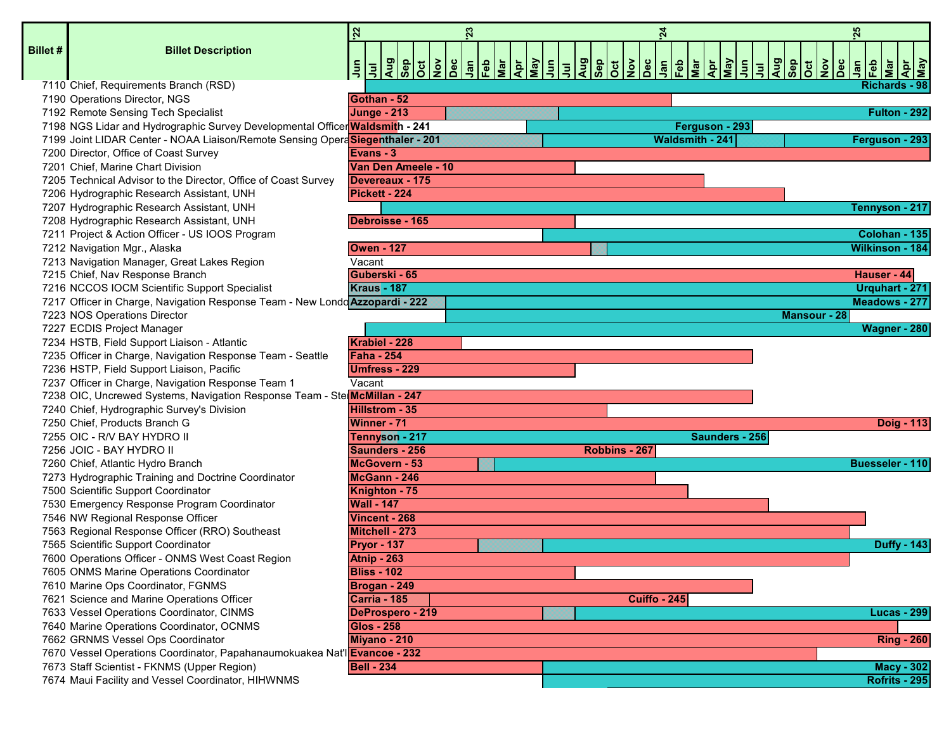|        |                                                                               | <b>22</b>                                        | 23                                                 |                          | 24                                                  |                                                                                                                                       |                                                                | 25                                                      |
|--------|-------------------------------------------------------------------------------|--------------------------------------------------|----------------------------------------------------|--------------------------|-----------------------------------------------------|---------------------------------------------------------------------------------------------------------------------------------------|----------------------------------------------------------------|---------------------------------------------------------|
| llet # | <b>Billet Description</b>                                                     | <b>Aug</b><br><b><u>guA</u></b><br>$\frac{5}{7}$ | $\left \frac{\delta}{2}\right $<br>Fe <sub>b</sub> | Mar<br>Apr<br>May<br>Jun | Aug<br><b>deS</b><br>$\frac{1}{\frac{1}{2}}$<br>Jan | $\begin{array}{ c c }\n\hline\n\text{R} & \text{S} \\ \hline\n\text{S} & \text{J} \\ \hline\n\end{array}$<br>$\frac{Feb}{Mar}$<br>Apr | Aug<br>$\frac{1}{\sqrt{2}}$<br>$\left \frac{\delta}{2}\right $ | <b>Apr</b><br>May<br>dan<br>naJ<br>$ \bar{\mathbf{z}} $ |
|        |                                                                               | $ \vec{J} $                                      |                                                    |                          | $ \vec{a} $                                         |                                                                                                                                       |                                                                |                                                         |
|        | 7110 Chief, Requirements Branch (RSD)                                         |                                                  |                                                    |                          |                                                     |                                                                                                                                       |                                                                | <b>Richards - 98</b>                                    |
|        | 7190 Operations Director, NGS                                                 | Gothan - 52                                      |                                                    |                          |                                                     |                                                                                                                                       |                                                                |                                                         |
|        | 7192 Remote Sensing Tech Specialist                                           | <b>Junge - 213</b>                               |                                                    |                          |                                                     |                                                                                                                                       |                                                                | Fulton - 292                                            |
|        | 7198 NGS Lidar and Hydrographic Survey Developmental Officer Waldsmith - 241  |                                                  |                                                    |                          |                                                     | Ferguson - 293                                                                                                                        |                                                                |                                                         |
|        | 7199 Joint LIDAR Center - NOAA Liaison/Remote Sensing OperaSiegenthaler - 201 |                                                  |                                                    |                          |                                                     | Waldsmith - 241                                                                                                                       |                                                                | Ferguson - 293                                          |
|        | 7200 Director, Office of Coast Survey                                         | Evans - 3<br>Van Den Ameele - 10                 |                                                    |                          |                                                     |                                                                                                                                       |                                                                |                                                         |
|        | 7201 Chief, Marine Chart Division                                             |                                                  |                                                    |                          |                                                     |                                                                                                                                       |                                                                |                                                         |
|        | 7205 Technical Advisor to the Director, Office of Coast Survey                | Devereaux - 175<br>Pickett - 224                 |                                                    |                          |                                                     |                                                                                                                                       |                                                                |                                                         |
|        | 7206 Hydrographic Research Assistant, UNH                                     |                                                  |                                                    |                          |                                                     |                                                                                                                                       |                                                                |                                                         |
|        | 7207 Hydrographic Research Assistant, UNH                                     |                                                  |                                                    |                          |                                                     |                                                                                                                                       |                                                                | Tennyson - 217                                          |
|        | 7208 Hydrographic Research Assistant, UNH                                     | Debroisse - 165                                  |                                                    |                          |                                                     |                                                                                                                                       |                                                                |                                                         |
|        | 7211 Project & Action Officer - US IOOS Program                               |                                                  |                                                    |                          |                                                     |                                                                                                                                       |                                                                | Colohan - 135                                           |
|        | 7212 Navigation Mgr., Alaska                                                  | <b>Owen - 127</b>                                |                                                    |                          |                                                     |                                                                                                                                       |                                                                | Wilkinson - 184                                         |
|        | 7213 Navigation Manager, Great Lakes Region                                   | Vacant                                           |                                                    |                          |                                                     |                                                                                                                                       |                                                                |                                                         |
|        | 7215 Chief, Nav Response Branch                                               | Guberski - 65                                    |                                                    |                          |                                                     |                                                                                                                                       |                                                                | Hauser - 44                                             |
|        | 7216 NCCOS IOCM Scientific Support Specialist                                 | <b>Kraus - 187</b>                               |                                                    |                          |                                                     |                                                                                                                                       |                                                                | Urquhart - 271                                          |
|        | 7217 Officer in Charge, Navigation Response Team - New Londo Azzopardi - 222  |                                                  |                                                    |                          |                                                     |                                                                                                                                       |                                                                | Meadows - 277                                           |
|        | 7223 NOS Operations Director                                                  |                                                  |                                                    |                          |                                                     |                                                                                                                                       | Mansour - 28                                                   |                                                         |
|        | 7227 ECDIS Project Manager                                                    |                                                  |                                                    |                          |                                                     |                                                                                                                                       |                                                                | Wagner - 280                                            |
|        | 7234 HSTB, Field Support Liaison - Atlantic                                   | Krabiel - 228                                    |                                                    |                          |                                                     |                                                                                                                                       |                                                                |                                                         |
|        | 7235 Officer in Charge, Navigation Response Team - Seattle                    | <b>Faha - 254</b>                                |                                                    |                          |                                                     |                                                                                                                                       |                                                                |                                                         |
|        | 7236 HSTP, Field Support Liaison, Pacific                                     | <b>Umfress - 229</b>                             |                                                    |                          |                                                     |                                                                                                                                       |                                                                |                                                         |
|        | 7237 Officer in Charge, Navigation Response Team 1                            | Vacant                                           |                                                    |                          |                                                     |                                                                                                                                       |                                                                |                                                         |
|        | 7238 OIC, Uncrewed Systems, Navigation Response Team - Ste McMillan - 247     |                                                  |                                                    |                          |                                                     |                                                                                                                                       |                                                                |                                                         |
|        | 7240 Chief, Hydrographic Survey's Division                                    | <b>Hillstrom - 35</b>                            |                                                    |                          |                                                     |                                                                                                                                       |                                                                |                                                         |
|        | 7250 Chief, Products Branch G                                                 | Winner - 71                                      |                                                    |                          |                                                     |                                                                                                                                       |                                                                | Doig - 113                                              |
|        | 7255 OIC - R/V BAY HYDRO II                                                   | Tennyson - 217                                   |                                                    |                          |                                                     | Saunders - 256                                                                                                                        |                                                                |                                                         |
|        | 7256 JOIC - BAY HYDRO II                                                      | Saunders - 256                                   |                                                    |                          | Robbins - 267                                       |                                                                                                                                       |                                                                |                                                         |
|        | 7260 Chief, Atlantic Hydro Branch                                             | McGovern - 53                                    |                                                    |                          |                                                     |                                                                                                                                       |                                                                | <b>Buesseler - 110</b>                                  |
|        | 7273 Hydrographic Training and Doctrine Coordinator                           | McGann - 246                                     |                                                    |                          |                                                     |                                                                                                                                       |                                                                |                                                         |
|        | 7500 Scientific Support Coordinator                                           | Knighton - 75                                    |                                                    |                          |                                                     |                                                                                                                                       |                                                                |                                                         |
|        | 7530 Emergency Response Program Coordinator                                   | <b>Wall - 147</b>                                |                                                    |                          |                                                     |                                                                                                                                       |                                                                |                                                         |
|        | 7546 NW Regional Response Officer                                             | Vincent - 268                                    |                                                    |                          |                                                     |                                                                                                                                       |                                                                |                                                         |
|        | 7563 Regional Response Officer (RRO) Southeast                                | Mitchell - 273                                   |                                                    |                          |                                                     |                                                                                                                                       |                                                                |                                                         |
|        | 7565 Scientific Support Coordinator                                           | Pryor - 137                                      |                                                    |                          |                                                     |                                                                                                                                       |                                                                | <b>Duffy - 143</b>                                      |
|        | 7600 Operations Officer - ONMS West Coast Region                              | <b>Atnip - 263</b>                               |                                                    |                          |                                                     |                                                                                                                                       |                                                                |                                                         |
|        | 7605 ONMS Marine Operations Coordinator                                       | <b>Bliss - 102</b>                               |                                                    |                          |                                                     |                                                                                                                                       |                                                                |                                                         |
|        | 7610 Marine Ops Coordinator, FGNMS                                            | Brogan - 249                                     |                                                    |                          |                                                     |                                                                                                                                       |                                                                |                                                         |
|        | 7621 Science and Marine Operations Officer                                    | Carria - 185                                     |                                                    |                          | <b>Cuiffo - 245</b>                                 |                                                                                                                                       |                                                                |                                                         |
|        | 7633 Vessel Operations Coordinator, CINMS                                     | DeProspero - 219                                 |                                                    |                          |                                                     |                                                                                                                                       |                                                                | <b>Lucas - 299</b>                                      |
|        | 7640 Marine Operations Coordinator, OCNMS                                     | <b>Glos - 258</b>                                |                                                    |                          |                                                     |                                                                                                                                       |                                                                |                                                         |
|        | 7662 GRNMS Vessel Ops Coordinator                                             | Miyano - 210                                     |                                                    |                          |                                                     |                                                                                                                                       |                                                                | <b>Ring - 260</b>                                       |
|        | 7670 Vessel Operations Coordinator, Papahanaumokuakea Nat'l Evancoe - 232     |                                                  |                                                    |                          |                                                     |                                                                                                                                       |                                                                |                                                         |
|        | 7673 Staff Scientist - FKNMS (Upper Region)                                   | <b>Bell - 234</b>                                |                                                    |                          |                                                     |                                                                                                                                       |                                                                | <b>Macy - 302</b>                                       |
|        | 7674 Maui Facility and Vessel Coordinator, HIHWNMS                            |                                                  |                                                    |                          |                                                     |                                                                                                                                       |                                                                | <b>Rofrits - 295</b>                                    |

**Bi**